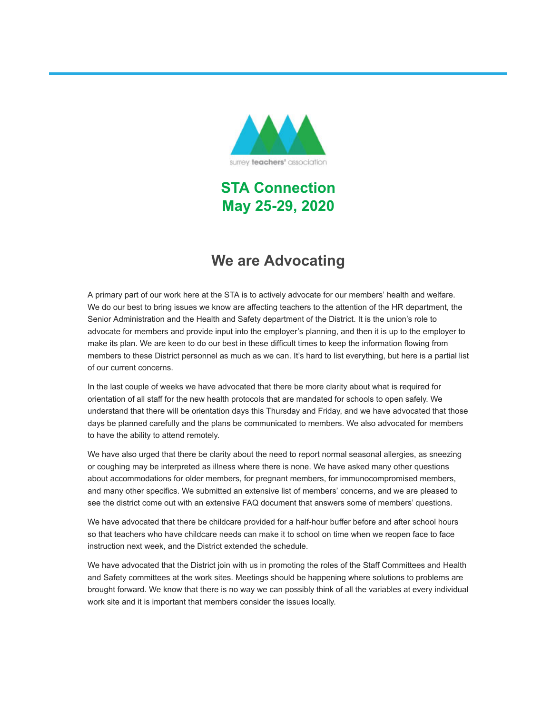

**STA Connection May 25-29, 2020**

# **We are Advocating**

A primary part of our work here at the STA is to actively advocate for our members' health and welfare. We do our best to bring issues we know are affecting teachers to the attention of the HR department, the Senior Administration and the Health and Safety department of the District. It is the union's role to advocate for members and provide input into the employer's planning, and then it is up to the employer to make its plan. We are keen to do our best in these difficult times to keep the information flowing from members to these District personnel as much as we can. It's hard to list everything, but here is a partial list of our current concerns.

In the last couple of weeks we have advocated that there be more clarity about what is required for orientation of all staff for the new health protocols that are mandated for schools to open safely. We understand that there will be orientation days this Thursday and Friday, and we have advocated that those days be planned carefully and the plans be communicated to members. We also advocated for members to have the ability to attend remotely.

We have also urged that there be clarity about the need to report normal seasonal allergies, as sneezing or coughing may be interpreted as illness where there is none. We have asked many other questions about accommodations for older members, for pregnant members, for immunocompromised members, and many other specifics. We submitted an extensive list of members' concerns, and we are pleased to see the district come out with an extensive FAQ document that answers some of members' questions.

We have advocated that there be childcare provided for a half-hour buffer before and after school hours so that teachers who have childcare needs can make it to school on time when we reopen face to face instruction next week, and the District extended the schedule.

We have advocated that the District join with us in promoting the roles of the Staff Committees and Health and Safety committees at the work sites. Meetings should be happening where solutions to problems are brought forward. We know that there is no way we can possibly think of all the variables at every individual work site and it is important that members consider the issues locally.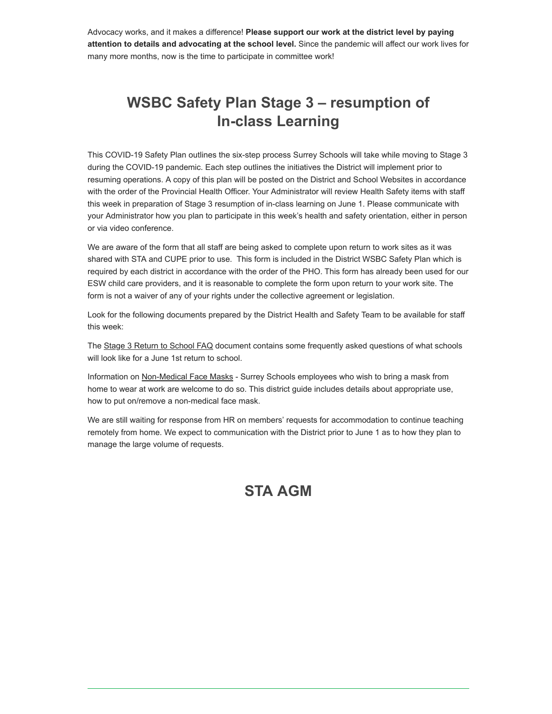Advocacy works, and it makes a difference! **Please support our work at the district level by paying attention to details and advocating at the school level.** Since the pandemic will affect our work lives for many more months, now is the time to participate in committee work!

# **WSBC Safety Plan Stage 3 – resumption of In-class Learning**

This COVID-19 Safety Plan outlines the six-step process Surrey Schools will take while moving to Stage 3 during the COVID-19 pandemic. Each step outlines the initiatives the District will implement prior to resuming operations. A copy of this plan will be posted on the District and School Websites in accordance with the order of the Provincial Health Officer. Your Administrator will review Health Safety items with staff this week in preparation of Stage 3 resumption of in-class learning on June 1. Please communicate with your Administrator how you plan to participate in this week's health and safety orientation, either in person or via video conference.

We are aware of the form that all staff are being asked to complete upon return to work sites as it was shared with STA and CUPE prior to use. This form is included in the District WSBC Safety Plan which is required by each district in accordance with the order of the PHO. This form has already been used for our ESW child care providers, and it is reasonable to complete the form upon return to your work site. The form is not a waiver of any of your rights under the collective agreement or legislation.

Look for the following documents prepared by the District Health and Safety Team to be available for staff this week:

The Stage 3 Return to School FAQ document contains some frequently asked questions of what schools will look like for a June 1st return to school.

Information on Non-Medical Face Masks - Surrey Schools employees who wish to bring a mask from home to wear at work are welcome to do so. This district guide includes details about appropriate use, how to put on/remove a non-medical face mask.

We are still waiting for response from HR on members' requests for accommodation to continue teaching remotely from home. We expect to communication with the District prior to June 1 as to how they plan to manage the large volume of requests.

## **STA AGM**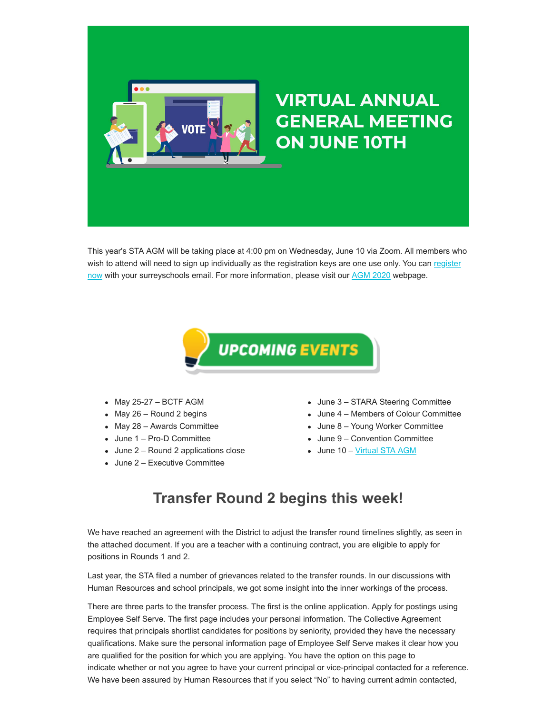

This year's STA AGM will be taking place at 4:00 pm on Wednesday, June 10 via Zoom. All members who [wish to attend will need to sign up individually as the registration keys are one use only. You can register](https://surreyteachers.us20.list-manage.com/track/click?u=37ec644ae87e34b54b3912660&id=161c8459cd&e=7261da6bdb) now with your surreyschools email. For more information, please visit our [AGM 2020](https://surreyteachers.us20.list-manage.com/track/click?u=37ec644ae87e34b54b3912660&id=55fdf7fafd&e=7261da6bdb) webpage.



- $-May 25-27 BCTF AGM$
- $•$  May 26 Round 2 begins
- May 28 Awards Committee
- June 1 Pro-D Committee
- June 2 Round 2 applications close
- June 2 Executive Committee
- June 3 STARA Steering Committee
- June 4 Members of Colour Committee
- June 8 Young Worker Committee
- June 9 Convention Committee
- June 10 Virtual STA AGM

# **Transfer Round 2 begins this week!**

We have reached an agreement with the District to adjust the transfer round timelines slightly, as seen in the attached document. If you are a teacher with a continuing contract, you are eligible to apply for positions in Rounds 1 and 2.

Last year, the STA filed a number of grievances related to the transfer rounds. In our discussions with Human Resources and school principals, we got some insight into the inner workings of the process.

There are three parts to the transfer process. The first is the online application. Apply for postings using Employee Self Serve. The first page includes your personal information. The Collective Agreement requires that principals shortlist candidates for positions by seniority, provided they have the necessary qualifications. Make sure the personal information page of Employee Self Serve makes it clear how you are qualified for the position for which you are applying. You have the option on this page to indicate whether or not you agree to have your current principal or vice-principal contacted for a reference. We have been assured by Human Resources that if you select "No" to having current admin contacted,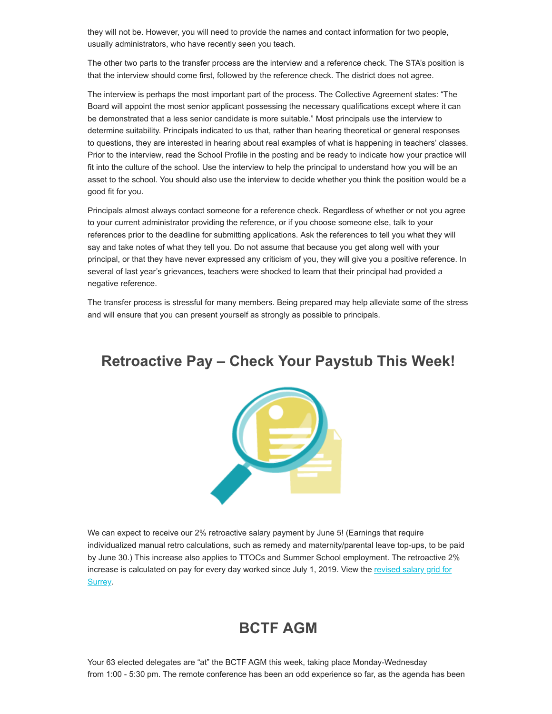they will not be. However, you will need to provide the names and contact information for two people, usually administrators, who have recently seen you teach.

The other two parts to the transfer process are the interview and a reference check. The STA's position is that the interview should come first, followed by the reference check. The district does not agree.

The interview is perhaps the most important part of the process. The Collective Agreement states: "The Board will appoint the most senior applicant possessing the necessary qualifications except where it can be demonstrated that a less senior candidate is more suitable." Most principals use the interview to determine suitability. Principals indicated to us that, rather than hearing theoretical or general responses to questions, they are interested in hearing about real examples of what is happening in teachers' classes. Prior to the interview, read the School Profile in the posting and be ready to indicate how your practice will fit into the culture of the school. Use the interview to help the principal to understand how you will be an asset to the school. You should also use the interview to decide whether you think the position would be a good fit for you.

Principals almost always contact someone for a reference check. Regardless of whether or not you agree to your current administrator providing the reference, or if you choose someone else, talk to your references prior to the deadline for submitting applications. Ask the references to tell you what they will say and take notes of what they tell you. Do not assume that because you get along well with your principal, or that they have never expressed any criticism of you, they will give you a positive reference. In several of last year's grievances, teachers were shocked to learn that their principal had provided a negative reference.

The transfer process is stressful for many members. Being prepared may help alleviate some of the stress and will ensure that you can present yourself as strongly as possible to principals.

### **Retroactive Pay – Check Your Paystub This Week!**



We can expect to receive our 2% retroactive salary payment by June 5! (Earnings that require individualized manual retro calculations, such as remedy and maternity/parental leave top-ups, to be paid by June 30.) This increase also applies to TTOCs and Summer School employment. The retroactive 2% [increase is calculated on pay for every day worked since July 1, 2019. View the revised salary grid for](https://surreyteachers.us20.list-manage.com/track/click?u=37ec644ae87e34b54b3912660&id=5892bbad05&e=7261da6bdb) Surrey.

## **BCTF AGM**

Your 63 elected delegates are "at" the BCTF AGM this week, taking place Monday-Wednesday from 1:00 - 5:30 pm. The remote conference has been an odd experience so far, as the agenda has been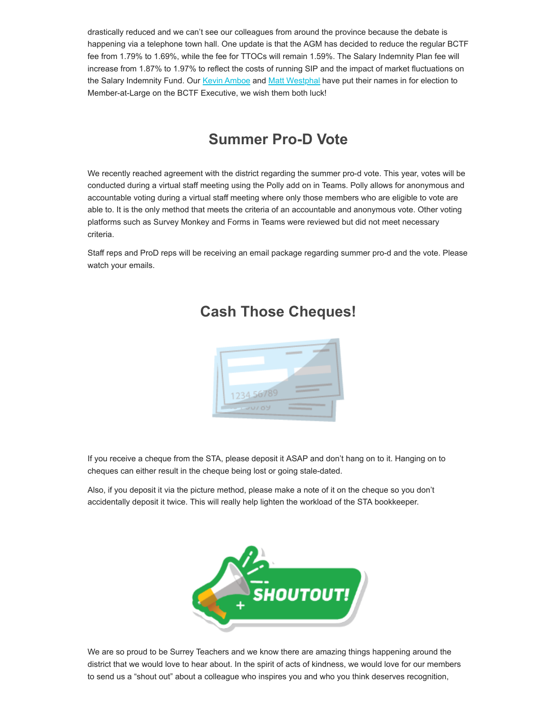drastically reduced and we can't see our colleagues from around the province because the debate is happening via a telephone town hall. One update is that the AGM has decided to reduce the regular BCTF fee from 1.79% to 1.69%, while the fee for TTOCs will remain 1.59%. The Salary Indemnity Plan fee will increase from 1.87% to 1.97% to reflect the costs of running SIP and the impact of market fluctuations on the Salary Indemnity Fund. Our [Kevin Amboe](https://surreyteachers.us20.list-manage.com/track/click?u=37ec644ae87e34b54b3912660&id=beb0533965&e=7261da6bdb) and [Matt Westphal](https://surreyteachers.us20.list-manage.com/track/click?u=37ec644ae87e34b54b3912660&id=3b034e54ab&e=7261da6bdb) have put their names in for election to Member-at-Large on the BCTF Executive, we wish them both luck!

# **Summer Pro-D Vote**

We recently reached agreement with the district regarding the summer pro-d vote. This year, votes will be conducted during a virtual staff meeting using the Polly add on in Teams. Polly allows for anonymous and accountable voting during a virtual staff meeting where only those members who are eligible to vote are able to. It is the only method that meets the criteria of an accountable and anonymous vote. Other voting platforms such as Survey Monkey and Forms in Teams were reviewed but did not meet necessary criteria.

Staff reps and ProD reps will be receiving an email package regarding summer pro-d and the vote. Please watch your emails.



## **Cash Those Cheques!**

If you receive a cheque from the STA, please deposit it ASAP and don't hang on to it. Hanging on to cheques can either result in the cheque being lost or going stale-dated.

Also, if you deposit it via the picture method, please make a note of it on the cheque so you don't accidentally deposit it twice. This will really help lighten the workload of the STA bookkeeper.



We are so proud to be Surrey Teachers and we know there are amazing things happening around the district that we would love to hear about. In the spirit of acts of kindness, we would love for our members to send us a "shout out" about a colleague who inspires you and who you think deserves recognition,